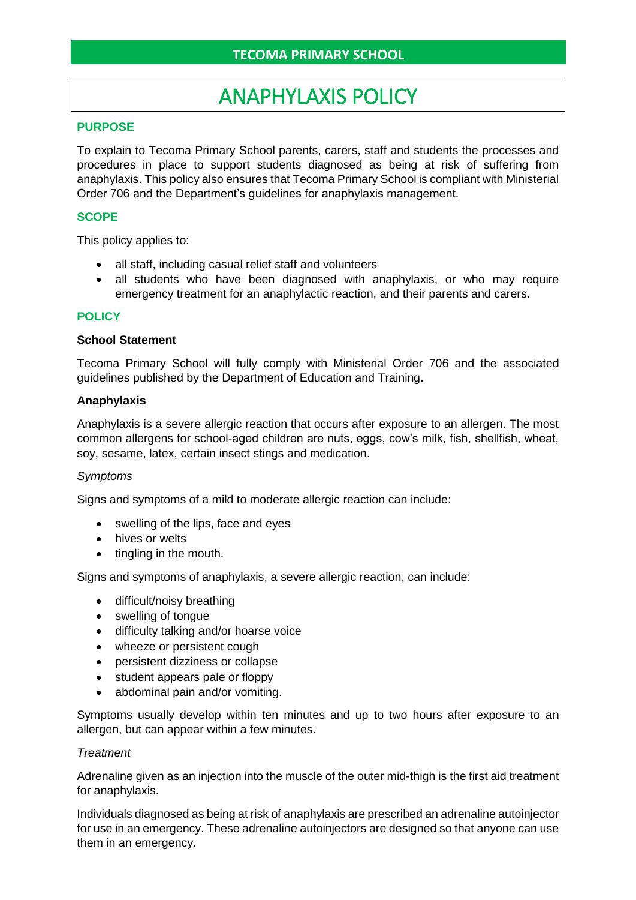# ANAPHYLAXIS POLICY

## **PURPOSE**

To explain to Tecoma Primary School parents, carers, staff and students the processes and procedures in place to support students diagnosed as being at risk of suffering from anaphylaxis. This policy also ensures that Tecoma Primary School is compliant with Ministerial Order 706 and the Department's guidelines for anaphylaxis management.

#### **SCOPE**

This policy applies to:

- all staff, including casual relief staff and volunteers
- all students who have been diagnosed with anaphylaxis, or who may require emergency treatment for an anaphylactic reaction, and their parents and carers.

#### **POLICY**

#### **School Statement**

Tecoma Primary School will fully comply with Ministerial Order 706 and the associated guidelines published by the Department of Education and Training.

#### **Anaphylaxis**

Anaphylaxis is a severe allergic reaction that occurs after exposure to an allergen. The most common allergens for school-aged children are nuts, eggs, cow's milk, fish, shellfish, wheat, soy, sesame, latex, certain insect stings and medication.

#### *Symptoms*

Signs and symptoms of a mild to moderate allergic reaction can include:

- swelling of the lips, face and eyes
- hives or welts
- tingling in the mouth.

Signs and symptoms of anaphylaxis, a severe allergic reaction, can include:

- difficult/noisy breathing
- swelling of tongue
- difficulty talking and/or hoarse voice
- wheeze or persistent cough
- persistent dizziness or collapse
- student appears pale or floppy
- abdominal pain and/or vomiting.

Symptoms usually develop within ten minutes and up to two hours after exposure to an allergen, but can appear within a few minutes.

#### *Treatment*

Adrenaline given as an injection into the muscle of the outer mid-thigh is the first aid treatment for anaphylaxis.

Individuals diagnosed as being at risk of anaphylaxis are prescribed an adrenaline autoinjector for use in an emergency. These adrenaline autoinjectors are designed so that anyone can use them in an emergency.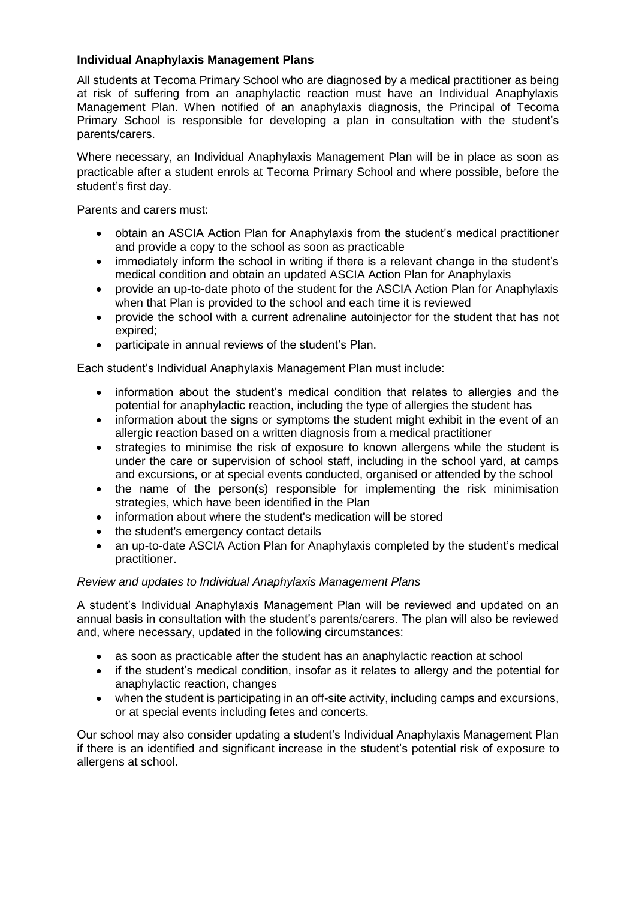## **Individual Anaphylaxis Management Plans**

All students at Tecoma Primary School who are diagnosed by a medical practitioner as being at risk of suffering from an anaphylactic reaction must have an Individual Anaphylaxis Management Plan. When notified of an anaphylaxis diagnosis, the Principal of Tecoma Primary School is responsible for developing a plan in consultation with the student's parents/carers.

Where necessary, an Individual Anaphylaxis Management Plan will be in place as soon as practicable after a student enrols at Tecoma Primary School and where possible, before the student's first day.

Parents and carers must:

- obtain an ASCIA Action Plan for Anaphylaxis from the student's medical practitioner and provide a copy to the school as soon as practicable
- immediately inform the school in writing if there is a relevant change in the student's medical condition and obtain an updated ASCIA Action Plan for Anaphylaxis
- provide an up-to-date photo of the student for the ASCIA Action Plan for Anaphylaxis when that Plan is provided to the school and each time it is reviewed
- provide the school with a current adrenaline autoinjector for the student that has not expired;
- participate in annual reviews of the student's Plan.

Each student's Individual Anaphylaxis Management Plan must include:

- information about the student's medical condition that relates to allergies and the potential for anaphylactic reaction, including the type of allergies the student has
- information about the signs or symptoms the student might exhibit in the event of an allergic reaction based on a written diagnosis from a medical practitioner
- strategies to minimise the risk of exposure to known allergens while the student is under the care or supervision of school staff, including in the school yard, at camps and excursions, or at special events conducted, organised or attended by the school
- the name of the person(s) responsible for implementing the risk minimisation strategies, which have been identified in the Plan
- information about where the student's medication will be stored
- the student's emergency contact details
- an up-to-date ASCIA Action Plan for Anaphylaxis completed by the student's medical practitioner.

## *Review and updates to Individual Anaphylaxis Management Plans*

A student's Individual Anaphylaxis Management Plan will be reviewed and updated on an annual basis in consultation with the student's parents/carers. The plan will also be reviewed and, where necessary, updated in the following circumstances:

- as soon as practicable after the student has an anaphylactic reaction at school
- if the student's medical condition, insofar as it relates to allergy and the potential for anaphylactic reaction, changes
- when the student is participating in an off-site activity, including camps and excursions, or at special events including fetes and concerts.

Our school may also consider updating a student's Individual Anaphylaxis Management Plan if there is an identified and significant increase in the student's potential risk of exposure to allergens at school.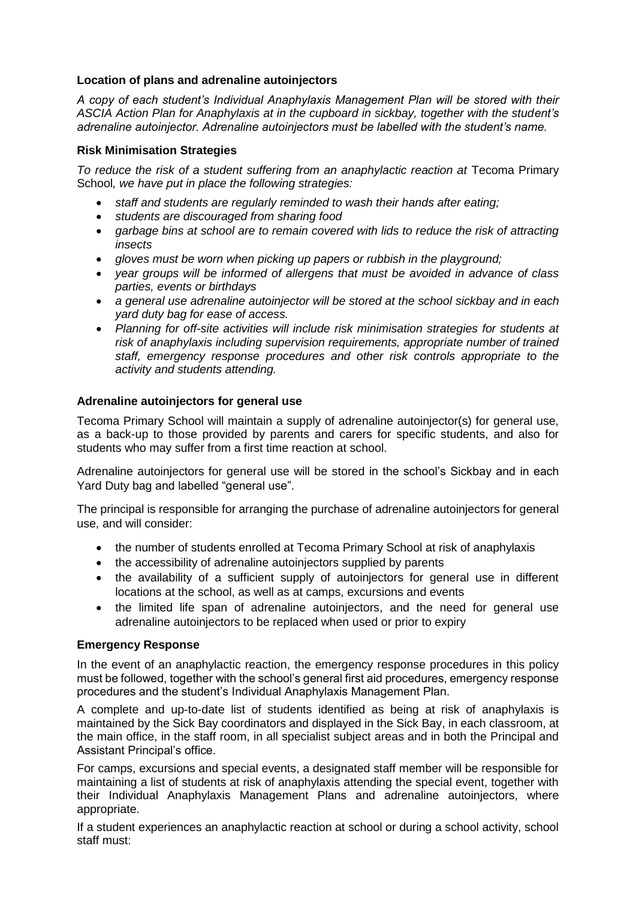## **Location of plans and adrenaline autoinjectors**

*A copy of each student's Individual Anaphylaxis Management Plan will be stored with their ASCIA Action Plan for Anaphylaxis at in the cupboard in sickbay, together with the student's adrenaline autoinjector. Adrenaline autoinjectors must be labelled with the student's name.*

## **Risk Minimisation Strategies**

To reduce the risk of a student suffering from an anaphylactic reaction at Tecoma Primary School*, we have put in place the following strategies:*

- *staff and students are regularly reminded to wash their hands after eating;*
- *students are discouraged from sharing food*
- *garbage bins at school are to remain covered with lids to reduce the risk of attracting insects*
- *gloves must be worn when picking up papers or rubbish in the playground;*
- *year groups will be informed of allergens that must be avoided in advance of class parties, events or birthdays*
- *a general use adrenaline autoinjector will be stored at the school sickbay and in each yard duty bag for ease of access.*
- *Planning for off-site activities will include risk minimisation strategies for students at risk of anaphylaxis including supervision requirements, appropriate number of trained staff, emergency response procedures and other risk controls appropriate to the activity and students attending.*

## **Adrenaline autoinjectors for general use**

Tecoma Primary School will maintain a supply of adrenaline autoinjector(s) for general use, as a back-up to those provided by parents and carers for specific students, and also for students who may suffer from a first time reaction at school.

Adrenaline autoinjectors for general use will be stored in the school's Sickbay and in each Yard Duty bag and labelled "general use".

The principal is responsible for arranging the purchase of adrenaline autoinjectors for general use, and will consider:

- the number of students enrolled at Tecoma Primary School at risk of anaphylaxis
- the accessibility of adrenaline autoinjectors supplied by parents
- the availability of a sufficient supply of autoinjectors for general use in different locations at the school, as well as at camps, excursions and events
- the limited life span of adrenaline autoinjectors, and the need for general use adrenaline autoinjectors to be replaced when used or prior to expiry

## **Emergency Response**

In the event of an anaphylactic reaction, the emergency response procedures in this policy must be followed, together with the school's general first aid procedures, emergency response procedures and the student's Individual Anaphylaxis Management Plan.

A complete and up-to-date list of students identified as being at risk of anaphylaxis is maintained by the Sick Bay coordinators and displayed in the Sick Bay, in each classroom, at the main office, in the staff room, in all specialist subject areas and in both the Principal and Assistant Principal's office.

For camps, excursions and special events, a designated staff member will be responsible for maintaining a list of students at risk of anaphylaxis attending the special event, together with their Individual Anaphylaxis Management Plans and adrenaline autoinjectors, where appropriate.

If a student experiences an anaphylactic reaction at school or during a school activity, school staff must: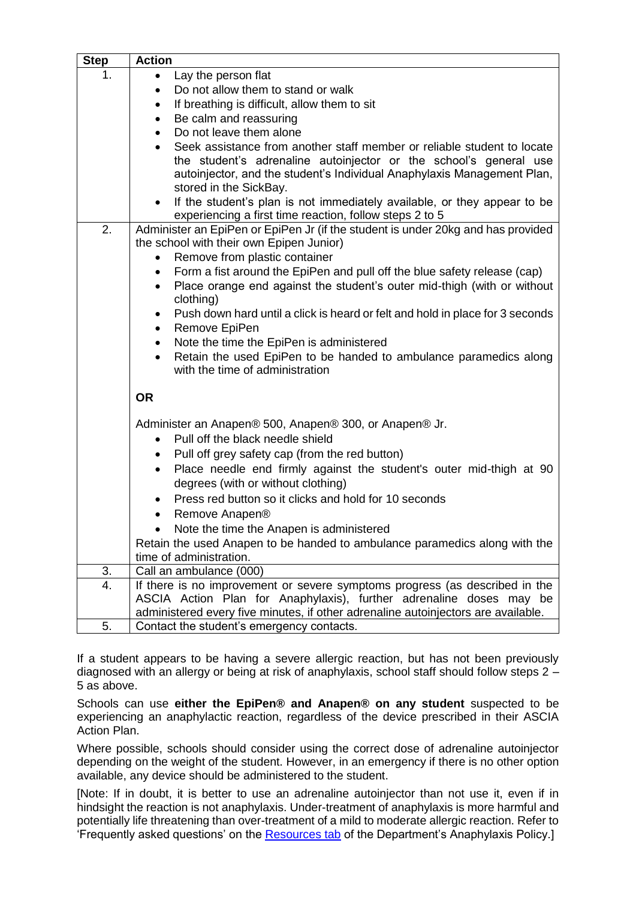| <b>Step</b> | <b>Action</b>                                                                                                                                                                                                                                                                                                                                                                                         |
|-------------|-------------------------------------------------------------------------------------------------------------------------------------------------------------------------------------------------------------------------------------------------------------------------------------------------------------------------------------------------------------------------------------------------------|
| 1.          | Lay the person flat<br>$\bullet$                                                                                                                                                                                                                                                                                                                                                                      |
|             | Do not allow them to stand or walk<br>$\bullet$                                                                                                                                                                                                                                                                                                                                                       |
|             | If breathing is difficult, allow them to sit<br>٠                                                                                                                                                                                                                                                                                                                                                     |
|             | Be calm and reassuring<br>$\bullet$                                                                                                                                                                                                                                                                                                                                                                   |
|             | Do not leave them alone                                                                                                                                                                                                                                                                                                                                                                               |
|             | Seek assistance from another staff member or reliable student to locate<br>the student's adrenaline autoinjector or the school's general use<br>autoinjector, and the student's Individual Anaphylaxis Management Plan,<br>stored in the SickBay.<br>If the student's plan is not immediately available, or they appear to be<br>$\bullet$<br>experiencing a first time reaction, follow steps 2 to 5 |
| 2.          | Administer an EpiPen or EpiPen Jr (if the student is under 20kg and has provided                                                                                                                                                                                                                                                                                                                      |
|             | the school with their own Epipen Junior)                                                                                                                                                                                                                                                                                                                                                              |
|             | Remove from plastic container<br>$\bullet$                                                                                                                                                                                                                                                                                                                                                            |
|             | Form a fist around the EpiPen and pull off the blue safety release (cap)<br>$\bullet$                                                                                                                                                                                                                                                                                                                 |
|             | Place orange end against the student's outer mid-thigh (with or without<br>$\bullet$                                                                                                                                                                                                                                                                                                                  |
|             | clothing)<br>Push down hard until a click is heard or felt and hold in place for 3 seconds                                                                                                                                                                                                                                                                                                            |
|             | Remove EpiPen                                                                                                                                                                                                                                                                                                                                                                                         |
|             | Note the time the EpiPen is administered<br>$\bullet$                                                                                                                                                                                                                                                                                                                                                 |
|             | Retain the used EpiPen to be handed to ambulance paramedics along<br>$\bullet$<br>with the time of administration                                                                                                                                                                                                                                                                                     |
|             | <b>OR</b>                                                                                                                                                                                                                                                                                                                                                                                             |
|             | Administer an Anapen® 500, Anapen® 300, or Anapen® Jr.                                                                                                                                                                                                                                                                                                                                                |
|             | Pull off the black needle shield<br>$\bullet$                                                                                                                                                                                                                                                                                                                                                         |
|             | Pull off grey safety cap (from the red button)<br>٠                                                                                                                                                                                                                                                                                                                                                   |
|             | Place needle end firmly against the student's outer mid-thigh at 90<br>$\bullet$                                                                                                                                                                                                                                                                                                                      |
|             | degrees (with or without clothing)                                                                                                                                                                                                                                                                                                                                                                    |
|             | Press red button so it clicks and hold for 10 seconds                                                                                                                                                                                                                                                                                                                                                 |
|             | Remove Anapen®                                                                                                                                                                                                                                                                                                                                                                                        |
|             | Note the time the Anapen is administered                                                                                                                                                                                                                                                                                                                                                              |
|             | Retain the used Anapen to be handed to ambulance paramedics along with the                                                                                                                                                                                                                                                                                                                            |
|             | time of administration.<br>Call an ambulance (000)                                                                                                                                                                                                                                                                                                                                                    |
| 3.<br>4.    | If there is no improvement or severe symptoms progress (as described in the                                                                                                                                                                                                                                                                                                                           |
|             | ASCIA Action Plan for Anaphylaxis), further adrenaline doses may be                                                                                                                                                                                                                                                                                                                                   |
|             | administered every five minutes, if other adrenaline autoinjectors are available.                                                                                                                                                                                                                                                                                                                     |
| 5.          | Contact the student's emergency contacts.                                                                                                                                                                                                                                                                                                                                                             |

If a student appears to be having a severe allergic reaction, but has not been previously diagnosed with an allergy or being at risk of anaphylaxis, school staff should follow steps 2 – 5 as above.

Schools can use **either the EpiPen® and Anapen® on any student** suspected to be experiencing an anaphylactic reaction, regardless of the device prescribed in their ASCIA Action Plan.

Where possible, schools should consider using the correct dose of adrenaline autoinjector depending on the weight of the student. However, in an emergency if there is no other option available, any device should be administered to the student.

[Note: If in doubt, it is better to use an adrenaline autoinjector than not use it, even if in hindsight the reaction is not anaphylaxis. Under-treatment of anaphylaxis is more harmful and potentially life threatening than over-treatment of a mild to moderate allergic reaction. Refer to 'Frequently asked questions' on the [Resources tab](https://www2.education.vic.gov.au/pal/anaphylaxis/resources) of the Department's Anaphylaxis Policy.]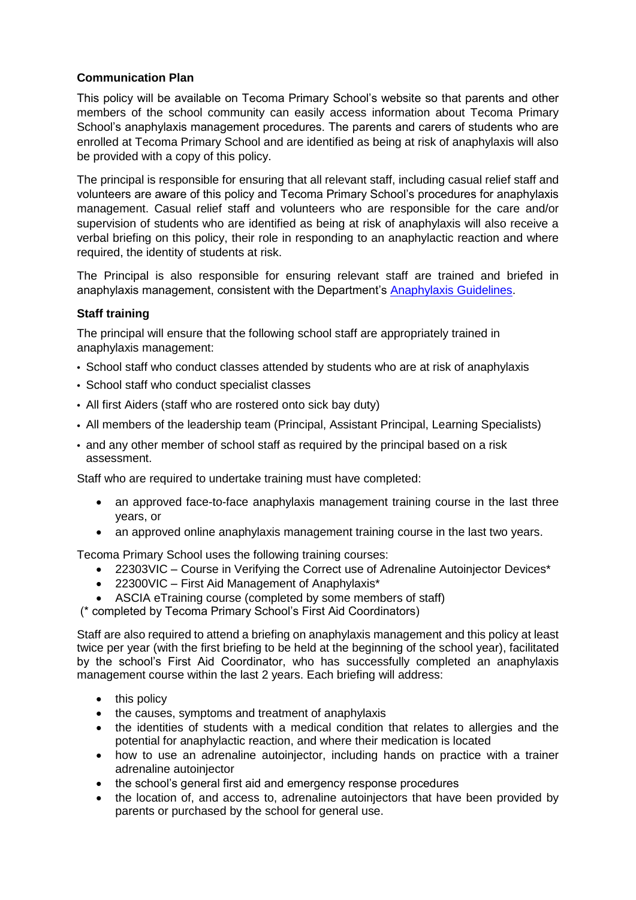# **Communication Plan**

This policy will be available on Tecoma Primary School's website so that parents and other members of the school community can easily access information about Tecoma Primary School's anaphylaxis management procedures. The parents and carers of students who are enrolled at Tecoma Primary School and are identified as being at risk of anaphylaxis will also be provided with a copy of this policy.

The principal is responsible for ensuring that all relevant staff, including casual relief staff and volunteers are aware of this policy and Tecoma Primary School's procedures for anaphylaxis management. Casual relief staff and volunteers who are responsible for the care and/or supervision of students who are identified as being at risk of anaphylaxis will also receive a verbal briefing on this policy, their role in responding to an anaphylactic reaction and where required, the identity of students at risk.

The Principal is also responsible for ensuring relevant staff are trained and briefed in anaphylaxis management, consistent with the Department's [Anaphylaxis Guidelines.](https://www2.education.vic.gov.au/pal/anaphylaxis/guidance)

## **Staff training**

The principal will ensure that the following school staff are appropriately trained in anaphylaxis management:

- School staff who conduct classes attended by students who are at risk of anaphylaxis
- School staff who conduct specialist classes
- All first Aiders (staff who are rostered onto sick bay duty)
- All members of the leadership team (Principal, Assistant Principal, Learning Specialists)
- and any other member of school staff as required by the principal based on a risk assessment.

Staff who are required to undertake training must have completed:

- an approved face-to-face anaphylaxis management training course in the last three years, or
- an approved online anaphylaxis management training course in the last two years.

Tecoma Primary School uses the following training courses:

- 22303VIC Course in Verifying the Correct use of Adrenaline Autoiniector Devices\*
- 22300VIC First Aid Management of Anaphylaxis\*
- ASCIA eTraining course (completed by some members of staff)
- (\* completed by Tecoma Primary School's First Aid Coordinators)

Staff are also required to attend a briefing on anaphylaxis management and this policy at least twice per year (with the first briefing to be held at the beginning of the school year), facilitated by the school's First Aid Coordinator, who has successfully completed an anaphylaxis management course within the last 2 years. Each briefing will address:

- this policy
- the causes, symptoms and treatment of anaphylaxis
- the identities of students with a medical condition that relates to allergies and the potential for anaphylactic reaction, and where their medication is located
- how to use an adrenaline autoiniector, including hands on practice with a trainer adrenaline autoinjector
- the school's general first aid and emergency response procedures
- the location of, and access to, adrenaline autoiniectors that have been provided by parents or purchased by the school for general use.